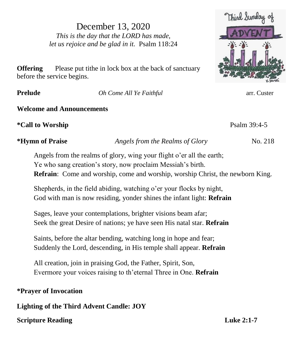December 13, 2020 *This is the day that the LORD has made, let us rejoice and be glad in it.* Psalm 118:24



**Offering** Please put tithe in lock box at the back of sanctuary before the service begins.

**Prelude** *Oh Come All Ye Faithful* arr. Custer

### **Welcome and Announcements**

**\*Call to Worship** Psalm 39:4-5

**\*Hymn of Praise** *Angels from the Realms of Glory*No. 218

Angels from the realms of glory, wing your flight o'er all the earth; Ye who sang creation's story, now proclaim Messiah's birth. **Refrain**: Come and worship, come and worship, worship Christ, the newborn King.

Shepherds, in the field abiding, watching o'er your flocks by night, God with man is now residing, yonder shines the infant light: **Refrain**

Sages, leave your contemplations, brighter visions beam afar; Seek the great Desire of nations; ye have seen His natal star. **Refrain**

Saints, before the altar bending, watching long in hope and fear; Suddenly the Lord, descending, in His temple shall appear. **Refrain**

All creation, join in praising God, the Father, Spirit, Son, Evermore your voices raising to th'eternal Three in One. **Refrain**

## **\*Prayer of Invocation**

**Lighting of the Third Advent Candle: JOY**

# **Scripture Reading Luke 2:1-7**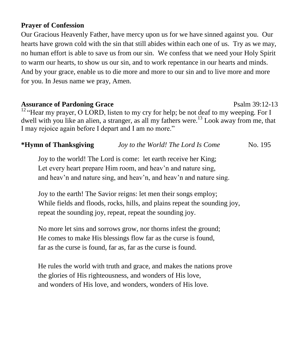#### **Prayer of Confession**

Our Gracious Heavenly Father, have mercy upon us for we have sinned against you. Our hearts have grown cold with the sin that still abides within each one of us. Try as we may, no human effort is able to save us from our sin. We confess that we need your Holy Spirit to warm our hearts, to show us our sin, and to work repentance in our hearts and minds. And by your grace, enable us to die more and more to our sin and to live more and more for you. In Jesus name we pray, Amen.

### Assurance of Pardoning Grace **Property** Psalm 39:12-13

 $12$  "Hear my prayer, O LORD, listen to my cry for help; be not deaf to my weeping. For I dwell with you like an alien, a stranger, as all my fathers were.<sup>13</sup> Look away from me, that I may rejoice again before I depart and I am no more."

### **\*Hymn of Thanksgiving** *Joy to the World! The Lord Is Come* No. 195

Joy to the world! The Lord is come: let earth receive her King; Let every heart prepare Him room, and heav'n and nature sing, and heav'n and nature sing, and heav'n, and heav'n and nature sing.

Joy to the earth! The Savior reigns: let men their songs employ; While fields and floods, rocks, hills, and plains repeat the sounding joy, repeat the sounding joy, repeat, repeat the sounding joy.

No more let sins and sorrows grow, nor thorns infest the ground; He comes to make His blessings flow far as the curse is found, far as the curse is found, far as, far as the curse is found.

He rules the world with truth and grace, and makes the nations prove the glories of His righteousness, and wonders of His love, and wonders of His love, and wonders, wonders of His love.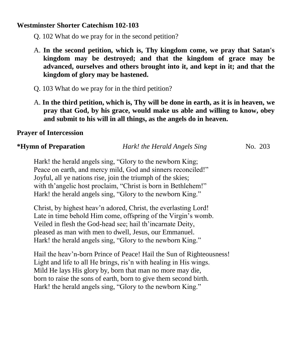#### **Westminster Shorter Catechism 102-103**

- Q. 102 What do we pray for in the second petition?
- A. **In the second petition, which is, Thy kingdom come, we pray that Satan's kingdom may be destroyed; and that the kingdom of grace may be advanced, ourselves and others brought into it, and kept in it; and that the kingdom of glory may be hastened.**
- Q. 103 What do we pray for in the third petition?
- A. **In the third petition, which is, Thy will be done in earth, as it is in heaven, we pray that God, by his grace, would make us able and willing to know, obey and submit to his will in all things, as the angels do in heaven.**

#### **Prayer of Intercession**

#### **\*Hymn of Preparation** *Hark! the Herald Angels Sing*No. 203

Hark! the herald angels sing, "Glory to the newborn King; Peace on earth, and mercy mild, God and sinners reconciled!" Joyful, all ye nations rise, join the triumph of the skies; with th'angelic host proclaim, "Christ is born in Bethlehem!" Hark! the herald angels sing, "Glory to the newborn King."

Christ, by highest heav'n adored, Christ, the everlasting Lord! Late in time behold Him come, offspring of the Virgin's womb. Veiled in flesh the God-head see; hail th'incarnate Deity, pleased as man with men to dwell, Jesus, our Emmanuel. Hark! the herald angels sing, "Glory to the newborn King."

Hail the heav'n-born Prince of Peace! Hail the Sun of Righteousness! Light and life to all He brings, ris'n with healing in His wings. Mild He lays His glory by, born that man no more may die, born to raise the sons of earth, born to give them second birth. Hark! the herald angels sing, "Glory to the newborn King."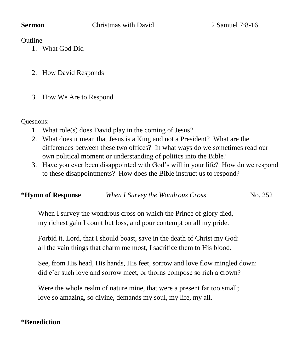**Outline** 

- 1. What God Did
- 2. How David Responds
- 3. How We Are to Respond

Questions:

- 1. What role(s) does David play in the coming of Jesus?
- 2. What does it mean that Jesus is a King and not a President? What are the differences between these two offices? In what ways do we sometimes read our own political moment or understanding of politics into the Bible?
- 3. Have you ever been disappointed with God's will in your life? How do we respond to these disappointments? How does the Bible instruct us to respond?

| *Hymn of Response | When I Survey the Wondrous Cross | No. 252 |
|-------------------|----------------------------------|---------|
|                   |                                  |         |

When I survey the wondrous cross on which the Prince of glory died, my richest gain I count but loss, and pour contempt on all my pride.

Forbid it, Lord, that I should boast, save in the death of Christ my God: all the vain things that charm me most, I sacrifice them to His blood.

See, from His head, His hands, His feet, sorrow and love flow mingled down: did e'er such love and sorrow meet, or thorns compose so rich a crown?

Were the whole realm of nature mine, that were a present far too small; love so amazing, so divine, demands my soul, my life, my all.

### **\*Benediction**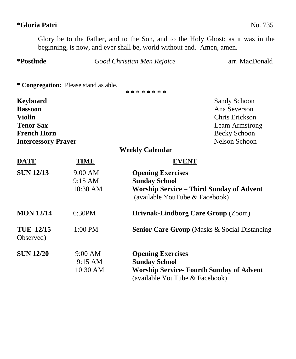# **\*Gloria Patri** No. 735

Glory be to the Father, and to the Son, and to the Holy Ghost; as it was in the beginning, is now, and ever shall be, world without end. Amen, amen.

| *Postlude                     |                                       | Good Christian Men Rejoice                | arr. MacDonald                                           |
|-------------------------------|---------------------------------------|-------------------------------------------|----------------------------------------------------------|
|                               | * Congregation: Please stand as able. |                                           |                                                          |
|                               |                                       | * * * * * * * *                           |                                                          |
| <b>Keyboard</b>               |                                       |                                           | <b>Sandy Schoon</b>                                      |
| <b>Bassoon</b>                |                                       |                                           | Ana Severson                                             |
| <b>Violin</b>                 |                                       |                                           | Chris Erickson                                           |
| <b>Tenor Sax</b>              |                                       |                                           | Leam Armstrong                                           |
| <b>French Horn</b>            |                                       |                                           | Becky Schoon                                             |
| <b>Intercessory Prayer</b>    |                                       |                                           | <b>Nelson Schoon</b>                                     |
|                               |                                       | <b>Weekly Calendar</b>                    |                                                          |
| <b>DATE</b>                   | <u>TIME</u>                           | <b>EVENT</b>                              |                                                          |
| <b>SUN 12/13</b>              | 9:00 AM                               | <b>Opening Exercises</b>                  |                                                          |
|                               | 9:15 AM                               | <b>Sunday School</b>                      |                                                          |
|                               | 10:30 AM                              | (available YouTube & Facebook)            | <b>Worship Service - Third Sunday of Advent</b>          |
| <b>MON 12/14</b>              | 6:30PM                                | <b>Hrivnak-Lindborg Care Group (Zoom)</b> |                                                          |
| <b>TUE 12/15</b><br>Observed) | $1:00$ PM                             |                                           | <b>Senior Care Group (Masks &amp; Social Distancing)</b> |
| <b>SUN 12/20</b>              | 9:00 AM                               | <b>Opening Exercises</b>                  |                                                          |
|                               | 9:15 AM                               | <b>Sunday School</b>                      |                                                          |
|                               | 10:30 AM                              | (available YouTube & Facebook)            | <b>Worship Service- Fourth Sunday of Advent</b>          |